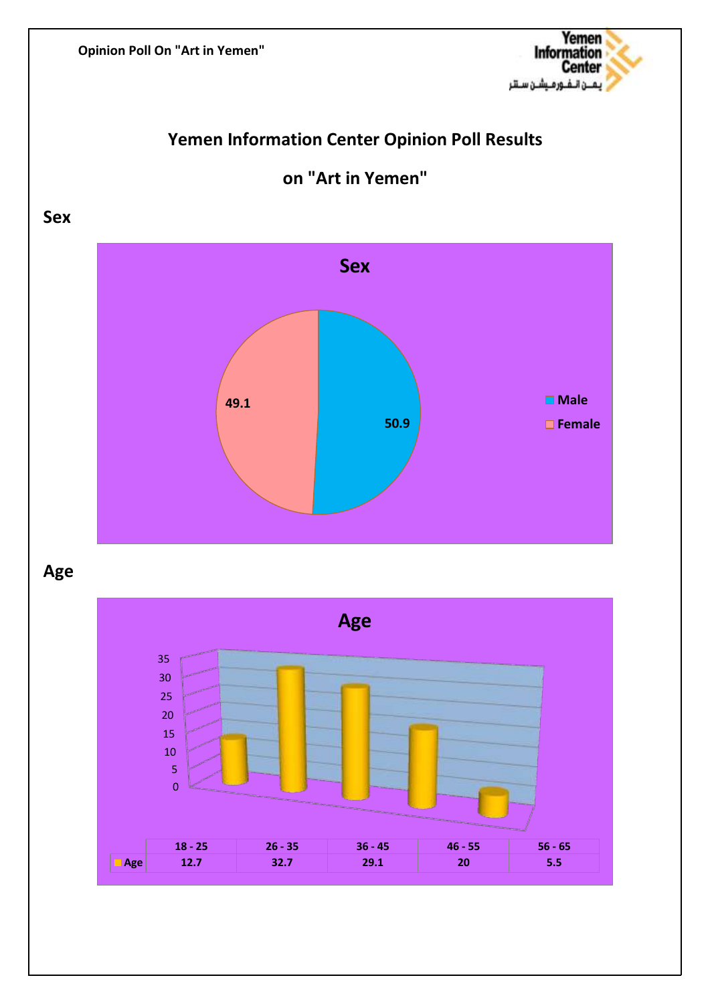

# **Yemen Information Center Opinion Poll Results**



**on "Art in Yemen"**

# **Age**

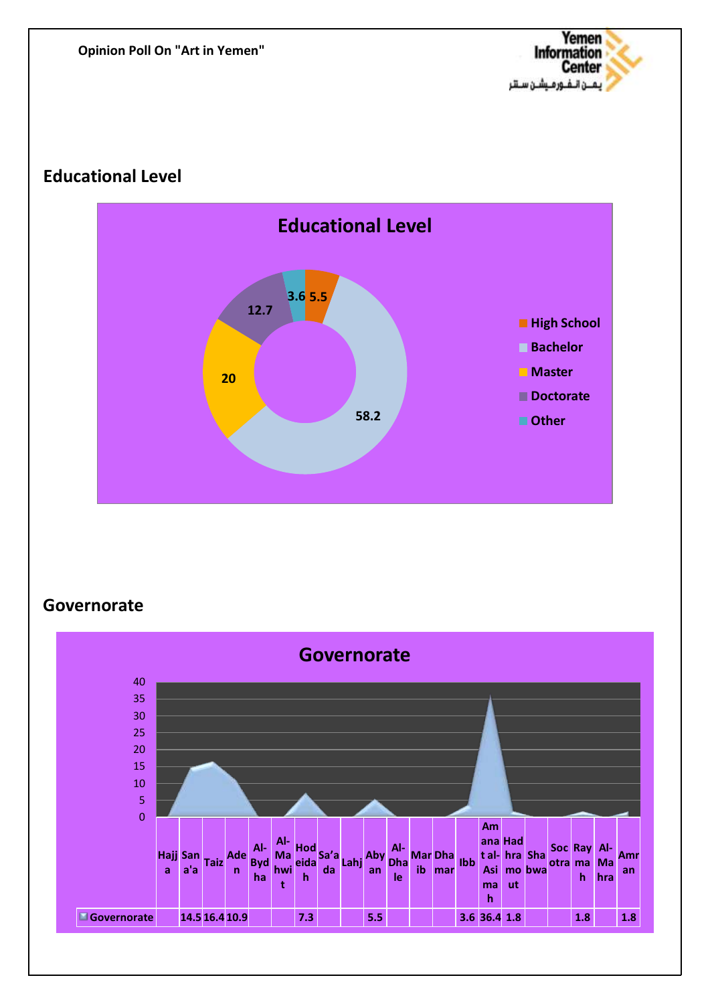

### **Educational Level**



# **Governorate**

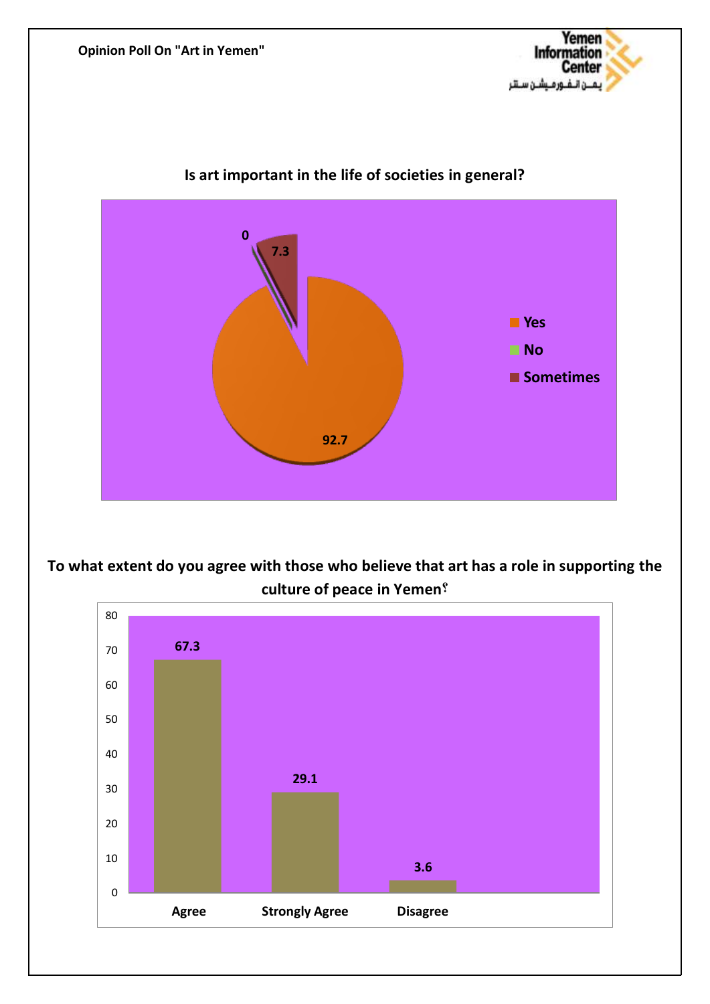



#### **Is art important in the life of societies in general?**

**To what extent do you agree with those who believe that art has a role in supporting the culture of peace in Yemen?**

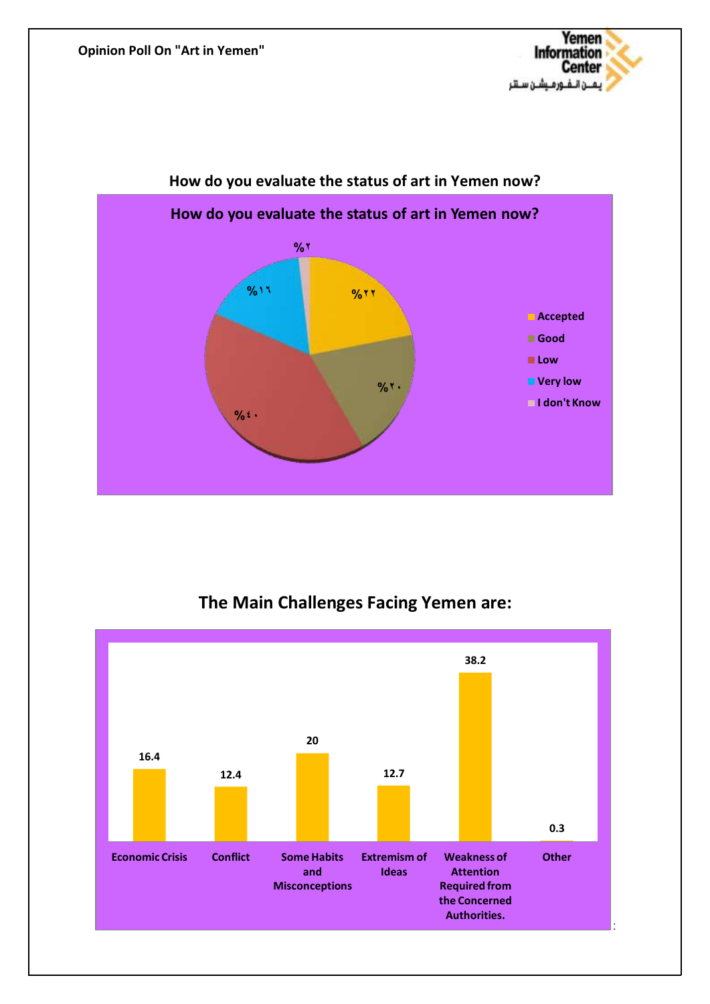



### **How do you evaluate the status of art in Yemen now?**

# **The Main Challenges Facing Yemen are:**

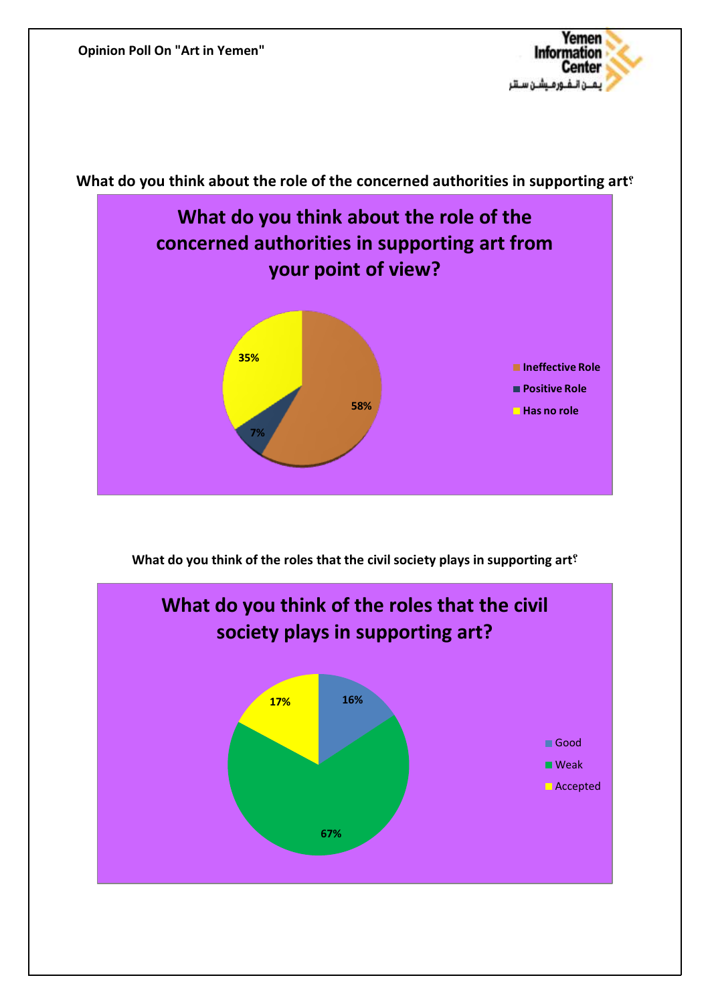

**What do you think about the role of the concerned authorities in supporting art?**



**What do you think of the roles that the civil society plays in supporting art?**

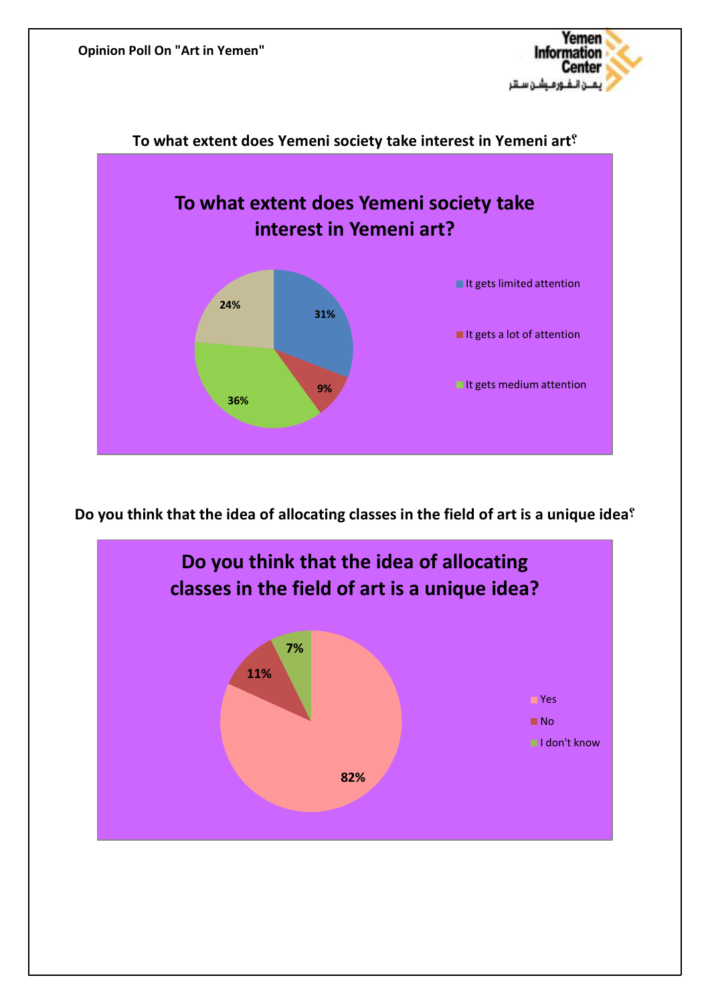





**Do you think that the idea of allocating classes in the field of art is a unique idea?**